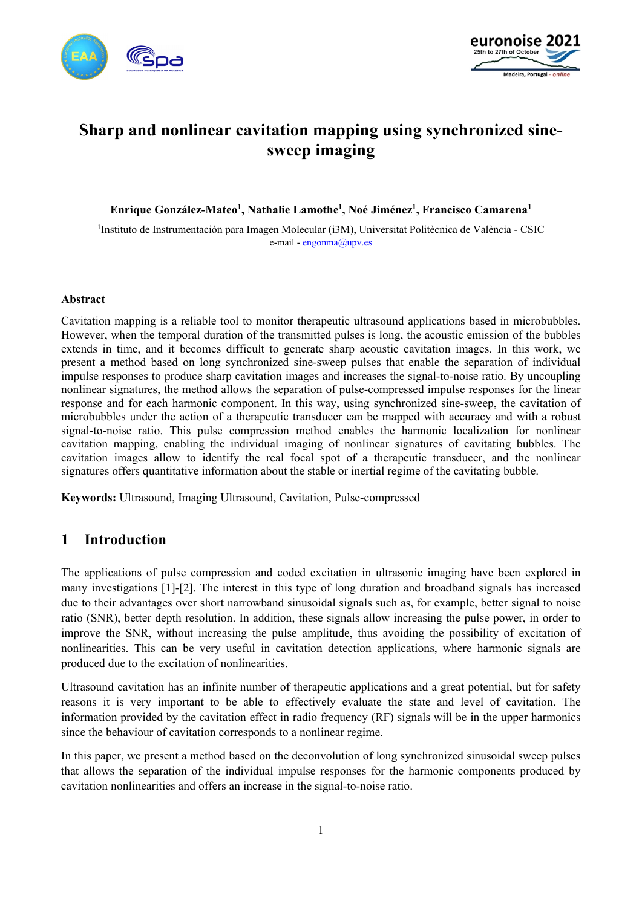



# **Sharp and nonlinear cavitation mapping using synchronized sinesweep imaging**

**Enrique González-Mateo1 , Nathalie Lamothe1 , Noé Jiménez1 , Francisco Camarena1**

<sup>1</sup>Instituto de Instrumentación para Imagen Molecular (i3M), Universitat Politècnica de València - CSIC e-mail - [engonma@upv.es](mailto:engonma@upv.es)

#### **Abstract**

Cavitation mapping is a reliable tool to monitor therapeutic ultrasound applications based in microbubbles. However, when the temporal duration of the transmitted pulses is long, the acoustic emission of the bubbles extends in time, and it becomes difficult to generate sharp acoustic cavitation images. In this work, we present a method based on long synchronized sine-sweep pulses that enable the separation of individual impulse responses to produce sharp cavitation images and increases the signal-to-noise ratio. By uncoupling nonlinear signatures, the method allows the separation of pulse-compressed impulse responses for the linear response and for each harmonic component. In this way, using synchronized sine-sweep, the cavitation of microbubbles under the action of a therapeutic transducer can be mapped with accuracy and with a robust signal-to-noise ratio. This pulse compression method enables the harmonic localization for nonlinear cavitation mapping, enabling the individual imaging of nonlinear signatures of cavitating bubbles. The cavitation images allow to identify the real focal spot of a therapeutic transducer, and the nonlinear signatures offers quantitative information about the stable or inertial regime of the cavitating bubble.

**Keywords:** Ultrasound, Imaging Ultrasound, Cavitation, Pulse-compressed

#### **1 Introduction**

The applications of pulse compression and coded excitation in ultrasonic imaging have been explored in many investigations [1]-[2]. The interest in this type of long duration and broadband signals has increased due to their advantages over short narrowband sinusoidal signals such as, for example, better signal to noise ratio (SNR), better depth resolution. In addition, these signals allow increasing the pulse power, in order to improve the SNR, without increasing the pulse amplitude, thus avoiding the possibility of excitation of nonlinearities. This can be very useful in cavitation detection applications, where harmonic signals are produced due to the excitation of nonlinearities.

Ultrasound cavitation has an infinite number of therapeutic applications and a great potential, but for safety reasons it is very important to be able to effectively evaluate the state and level of cavitation. The information provided by the cavitation effect in radio frequency (RF) signals will be in the upper harmonics since the behaviour of cavitation corresponds to a nonlinear regime.

In this paper, we present a method based on the deconvolution of long synchronized sinusoidal sweep pulses that allows the separation of the individual impulse responses for the harmonic components produced by cavitation nonlinearities and offers an increase in the signal-to-noise ratio.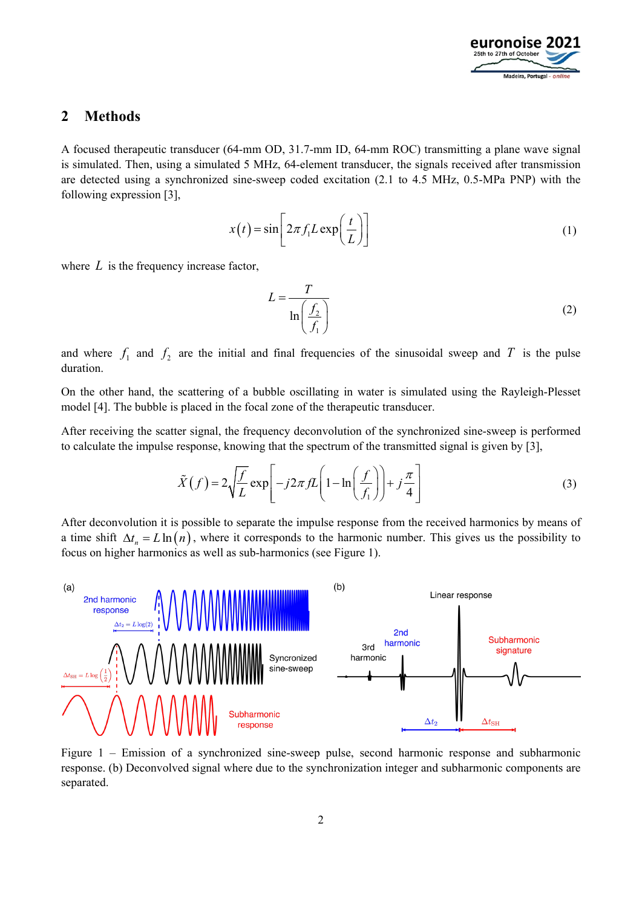

### **2 Methods**

A focused therapeutic transducer (64-mm OD, 31.7-mm ID, 64-mm ROC) transmitting a plane wave signal is simulated. Then, using a simulated 5 MHz, 64-element transducer, the signals received after transmission are detected using a synchronized sine-sweep coded excitation (2.1 to 4.5 MHz, 0.5-MPa PNP) with the following expression [3],

$$
x(t) = \sin\left[2\pi f_1 L \exp\left(\frac{t}{L}\right)\right]
$$
 (1)

where *L* is the frequency increase factor,

$$
L = \frac{T}{\ln\left(\frac{f_2}{f_1}\right)}\tag{2}
$$

and where  $f_1$  and  $f_2$  are the initial and final frequencies of the sinusoidal sweep and T is the pulse duration.

On the other hand, the scattering of a bubble oscillating in water is simulated using the Rayleigh-Plesset model [4]. The bubble is placed in the focal zone of the therapeutic transducer.

After receiving the scatter signal, the frequency deconvolution of the synchronized sine-sweep is performed to calculate the impulse response, knowing that the spectrum of the transmitted signal is given by [3],

$$
\tilde{X}(f) = 2\sqrt{\frac{f}{L}} \exp\left[-j2\pi fL\left(1 - \ln\left(\frac{f}{f_1}\right)\right) + j\frac{\pi}{4}\right]
$$
\n(3)

After deconvolution it is possible to separate the impulse response from the received harmonics by means of a time shift  $\Delta t_n = L \ln(n)$ , where it corresponds to the harmonic number. This gives us the possibility to focus on higher harmonics as well as sub-harmonics (see [Figure 1\)](#page-1-0).



<span id="page-1-0"></span>Figure 1 – Emission of a synchronized sine-sweep pulse, second harmonic response and subharmonic response. (b) Deconvolved signal where due to the synchronization integer and subharmonic components are separated.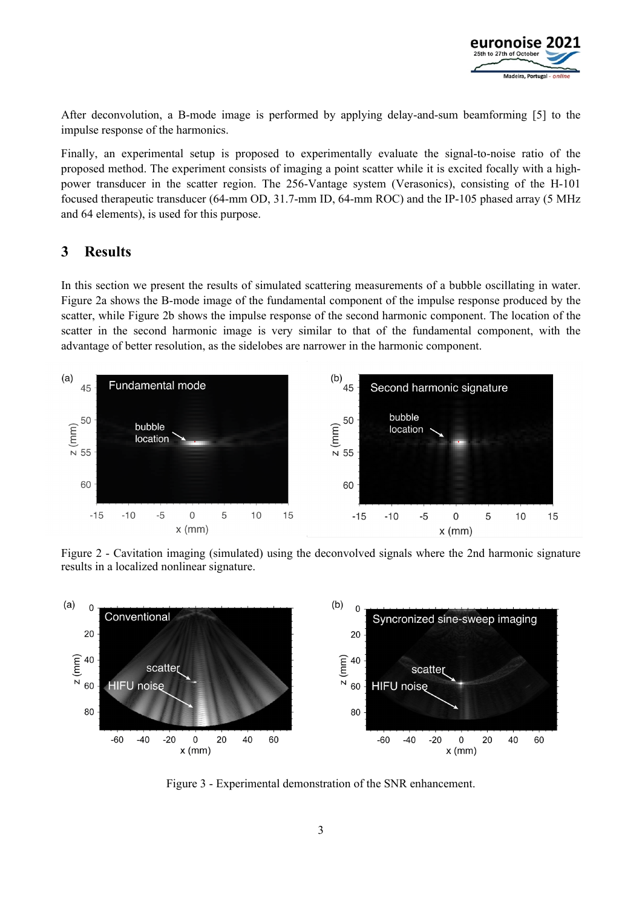

After deconvolution, a B-mode image is performed by applying delay-and-sum beamforming [5] to the impulse response of the harmonics.

Finally, an experimental setup is proposed to experimentally evaluate the signal-to-noise ratio of the proposed method. The experiment consists of imaging a point scatter while it is excited focally with a highpower transducer in the scatter region. The 256-Vantage system (Verasonics), consisting of the H-101 focused therapeutic transducer (64-mm OD, 31.7-mm ID, 64-mm ROC) and the IP-105 phased array (5 MHz and 64 elements), is used for this purpose.

# **3 Results**

In this section we present the results of simulated scattering measurements of a bubble oscillating in water. [Figure 2a](#page-2-0) shows the B-mode image of the fundamental component of the impulse response produced by the scatter, while [Figure 2b](#page-2-0) shows the impulse response of the second harmonic component. The location of the scatter in the second harmonic image is very similar to that of the fundamental component, with the advantage of better resolution, as the sidelobes are narrower in the harmonic component.



<span id="page-2-0"></span>Figure 2 - Cavitation imaging (simulated) using the deconvolved signals where the 2nd harmonic signature results in a localized nonlinear signature.



<span id="page-2-1"></span>Figure 3 - Experimental demonstration of the SNR enhancement.